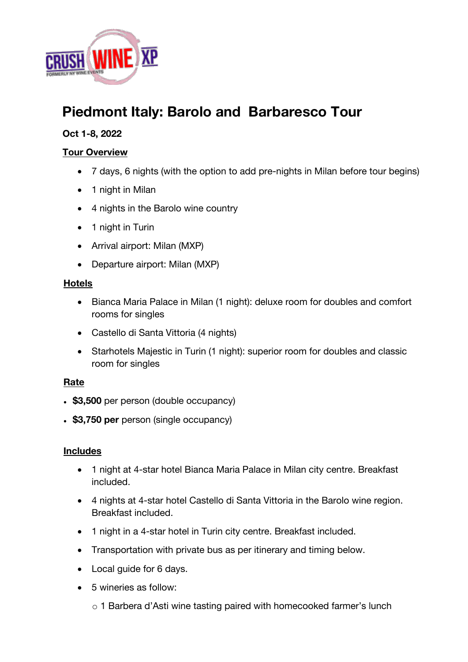

# **Piedmont Italy: Barolo and Barbaresco Tour**

# **Oct 1-8, 2022**

## **Tour Overview**

- 7 days, 6 nights (with the option to add pre-nights in Milan before tour begins)
- 1 night in Milan
- 4 nights in the Barolo wine country
- 1 night in Turin
- Arrival airport: Milan (MXP)
- Departure airport: Milan (MXP)

## **Hotels**

- Bianca Maria Palace in Milan (1 night): deluxe room for doubles and comfort rooms for singles
- Castello di Santa Vittoria (4 nights)
- Starhotels Majestic in Turin (1 night): superior room for doubles and classic room for singles

# **Rate**

- \$3,500 per person (double occupancy)
- \$3,750 per person (single occupancy)

#### **Includes**

- 1 night at 4-star hotel Bianca Maria Palace in Milan city centre. Breakfast included.
- 4 nights at 4-star hotel Castello di Santa Vittoria in the Barolo wine region. Breakfast included.
- 1 night in a 4-star hotel in Turin city centre. Breakfast included.
- Transportation with private bus as per itinerary and timing below.
- Local guide for 6 days.
- 5 wineries as follow:
	- o 1 Barbera d'Asti wine tasting paired with homecooked farmer's lunch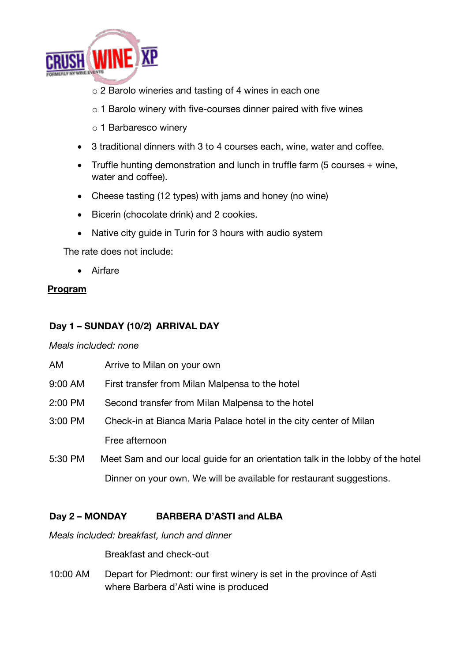

- o 2 Barolo wineries and tasting of 4 wines in each one
- o 1 Barolo winery with five-courses dinner paired with five wines
- o 1 Barbaresco winery
- 3 traditional dinners with 3 to 4 courses each, wine, water and coffee.
- Truffle hunting demonstration and lunch in truffle farm (5 courses + wine, water and coffee).
- Cheese tasting (12 types) with jams and honey (no wine)
- Bicerin (chocolate drink) and 2 cookies.
- Native city guide in Turin for 3 hours with audio system

The rate does not include:

• Airfare

# **Program**

# **Day 1 – SUNDAY (10/2) ARRIVAL DAY**

#### *Meals included: none*

| AM      | Arrive to Milan on your own                                                    |
|---------|--------------------------------------------------------------------------------|
| 9:00 AM | First transfer from Milan Malpensa to the hotel                                |
| 2:00 PM | Second transfer from Milan Malpensa to the hotel                               |
| 3:00 PM | Check-in at Bianca Maria Palace hotel in the city center of Milan              |
|         | Free afternoon                                                                 |
| 5:30 PM | Meet Sam and our local guide for an orientation talk in the lobby of the hotel |
|         | Dinner on your own. We will be available for restaurant suggestions.           |

# **Day 2 – MONDAY BARBERA D'ASTI and ALBA**

*Meals included: breakfast, lunch and dinner*

Breakfast and check-out

10:00 AM Depart for Piedmont: our first winery is set in the province of Asti where Barbera d'Asti wine is produced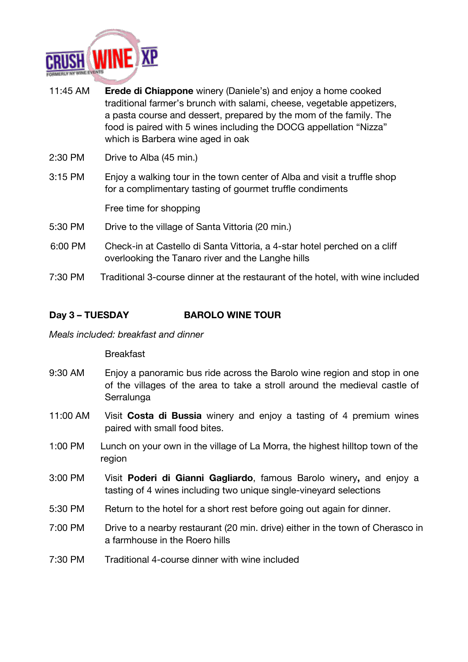

- 11:45 AM **Erede di Chiappone** winery (Daniele's) and enjoy a home cooked traditional farmer's brunch with salami, cheese, vegetable appetizers, a pasta course and dessert, prepared by the mom of the family. The food is paired with 5 wines including the DOCG appellation "Nizza" which is Barbera wine aged in oak
- 2:30 PM Drive to Alba (45 min.)
- 3:15 PM Enjoy a walking tour in the town center of Alba and visit a truffle shop for a complimentary tasting of gourmet truffle condiments

Free time for shopping

- 5:30 PM Drive to the village of Santa Vittoria (20 min.)
- 6:00 PM Check-in at Castello di Santa Vittoria, a 4-star hotel perched on a cliff overlooking the Tanaro river and the Langhe hills
- 7:30 PM Traditional 3-course dinner at the restaurant of the hotel, with wine included

#### **Day 3 – TUESDAY BAROLO WINE TOUR**

#### *Meals included: breakfast and dinner*

#### Breakfast

- 9:30 AM Enjoy a panoramic bus ride across the Barolo wine region and stop in one of the villages of the area to take a stroll around the medieval castle of **Serralunga**
- 11:00 AM Visit **Costa di Bussia** winery and enjoy a tasting of 4 premium wines paired with small food bites.
- 1:00 PM Lunch on your own in the village of La Morra, the highest hilltop town of the region
- 3:00 PM Visit **Poderi di Gianni Gagliardo**, famous Barolo winery**,** and enjoy a tasting of 4 wines including two unique single-vineyard selections
- 5:30 PM Return to the hotel for a short rest before going out again for dinner.
- 7:00 PM Drive to a nearby restaurant (20 min. drive) either in the town of Cherasco in a farmhouse in the Roero hills
- 7:30 PM Traditional 4-course dinner with wine included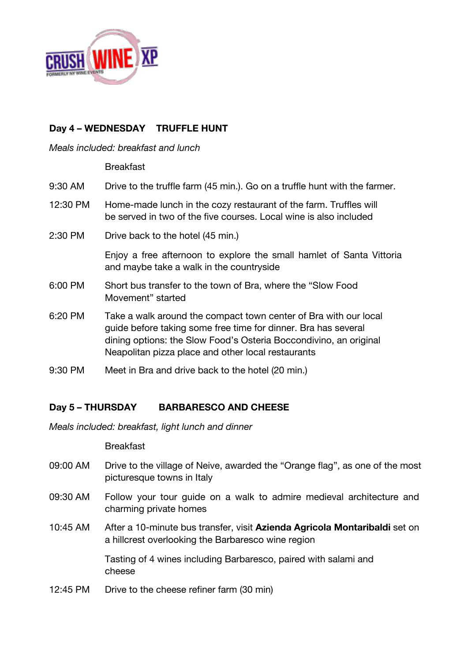

# **Day 4 – WEDNESDAY TRUFFLE HUNT**

#### *Meals included: breakfast and lunch*

Breakfast

| 9:30 AM  | Drive to the truffle farm (45 min.). Go on a truffle hunt with the farmer.                                                                                                                                                                                    |
|----------|---------------------------------------------------------------------------------------------------------------------------------------------------------------------------------------------------------------------------------------------------------------|
| 12:30 PM | Home-made lunch in the cozy restaurant of the farm. Truffles will<br>be served in two of the five courses. Local wine is also included                                                                                                                        |
| 2:30 PM  | Drive back to the hotel (45 min.)                                                                                                                                                                                                                             |
|          | Enjoy a free afternoon to explore the small hamlet of Santa Vittoria<br>and maybe take a walk in the countryside                                                                                                                                              |
| 6:00 PM  | Short bus transfer to the town of Bra, where the "Slow Food"<br>Movement" started                                                                                                                                                                             |
| 6:20 PM  | Take a walk around the compact town center of Bra with our local<br>quide before taking some free time for dinner. Bra has several<br>dining options: the Slow Food's Osteria Boccondivino, an original<br>Neapolitan pizza place and other local restaurants |
|          |                                                                                                                                                                                                                                                               |

9:30 PM Meet in Bra and drive back to the hotel (20 min.)

# **Day 5 – THURSDAY BARBARESCO AND CHEESE**

*Meals included: breakfast, light lunch and dinner*

Breakfast

- 09:00 AM Drive to the village of Neive, awarded the "Orange flag", as one of the most picturesque towns in Italy
- 09:30 AM Follow your tour guide on a walk to admire medieval architecture and charming private homes
- 10:45 AM After a 10-minute bus transfer, visit **Azienda Agricola Montaribaldi** set on a hillcrest overlooking the Barbaresco wine region

Tasting of 4 wines including Barbaresco, paired with salami and cheese

12:45 PM Drive to the cheese refiner farm (30 min)